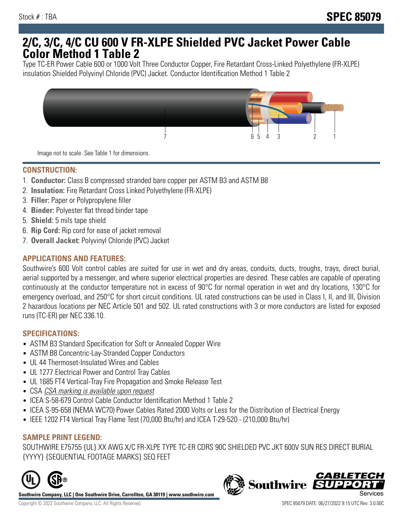## **2/C, 3/C, 4/C CU 600 V FR-XLPE Shielded PVC Jacket Power Cable Color Method 1 Table 2**

Type TC-ER Power Cable 600 or 1000 Volt Three Conductor Copper, Fire Retardant Cross-Linked Polyethylene (FR-XLPE) insulation Shielded Polyvinyl Chloride (PVC) Jacket. Conductor Identification Method 1 Table 2



Image not to scale. See Table 1 for dimensions.

## **CONSTRUCTION:**

- 1. **Conductor:** Class B compressed stranded bare copper per ASTM B3 and ASTM B8
- 2. **Insulation:** Fire Retardant Cross Linked Polyethylene (FR-XLPE)
- 3. **Filler:** Paper or Polypropylene filler
- 4. **Binder:** Polyester flat thread binder tape
- 5. **Shield:** 5 mils tape shield
- 6. **Rip Cord:** Rip cord for ease of jacket removal
- 7. **Overall Jacket:** Polyvinyl Chloride (PVC) Jacket

### **APPLICATIONS AND FEATURES:**

Southwire's 600 Volt control cables are suited for use in wet and dry areas, conduits, ducts, troughs, trays, direct burial, aerial supported by a messenger, and where superior electrical properties are desired. These cables are capable of operating continuously at the conductor temperature not in excess of 90°C for normal operation in wet and dry locations, 130°C for emergency overload, and 250°C for short circuit conditions. UL rated constructions can be used in Class I, II, and III, Division 2 hazardous locations per NEC Article 501 and 502. UL rated constructions with 3 or more conductors are listed for exposed runs (TC-ER) per NEC 336.10.

#### **SPECIFICATIONS:**

- ASTM B3 Standard Specification for Soft or Annealed Copper Wire
- ASTM B8 Concentric-Lay-Stranded Copper Conductors
- UL 44 Thermoset-Insulated Wires and Cables
- UL 1277 Electrical Power and Control Tray Cables
- UL 1685 FT4 Vertical-Tray Fire Propagation and Smoke Release Test
- CSA CSA marking is available upon request
- ICEA S-58-679 Control Cable Conductor Identification Method 1 Table 2
- ICEA S-95-658 (NEMA WC70) Power Cables Rated 2000 Volts or Less for the Distribution of Electrical Energy
- IEEE 1202 FT4 Vertical Tray Flame Test (70,000 Btu/hr) and ICEA T-29-520 (210,000 Btu/hr)

#### **SAMPLE PRINT LEGEND:**

SOUTHWIRE E75755 {UL} XX AWG X/C FR-XLPE TYPE TC-ER CDRS 90C SHIELDED PVC JKT 600V SUN RES DIRECT BURIAL {YYYY} {SEQUENTIAL FOOTAGE MARKS} SEQ FEET



**Southwire Company, LLC | One Southwire Drive, Carrollton, GA 30119 | www.southwire.com**